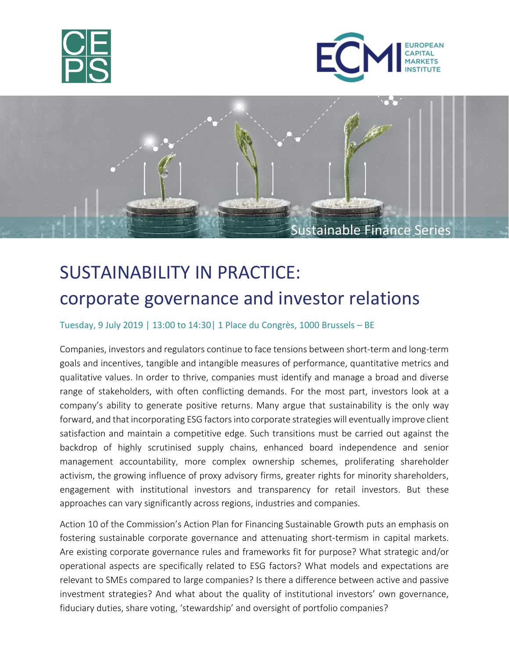





# SUSTAINABILITY IN PRACTICE: corporate governance and investor relations

### Tuesday, 9 July 2019 | 13:00 to 14:30| 1 Place du Congrès, 1000 Brussels – BE

Companies, investors and regulators continue to face tensions between short-term and long-term goals and incentives, tangible and intangible measures of performance, quantitative metrics and qualitative values. In order to thrive, companies must identify and manage a broad and diverse range of stakeholders, with often conflicting demands. For the most part, investors look at a company's ability to generate positive returns. Many argue that sustainability is the only way forward, and that incorporating ESG factors into corporate strategies will eventually improve client satisfaction and maintain a competitive edge. Such transitions must be carried out against the backdrop of highly scrutinised supply chains, enhanced board independence and senior management accountability, more complex ownership schemes, proliferating shareholder activism, the growing influence of proxy advisory firms, greater rights for minority shareholders, engagement with institutional investors and transparency for retail investors. But these approaches can vary significantly across regions, industries and companies.

Action 10 of the Commission's Action Plan for Financing Sustainable Growth puts an emphasis on fostering sustainable corporate governance and attenuating short-termism in capital markets. Are existing corporate governance rules and frameworks fit for purpose? What strategic and/or operational aspects are specifically related to ESG factors? What models and expectations are relevant to SMEs compared to large companies? Is there a difference between active and passive investment strategies? And what about the quality of institutional investors' own governance, fiduciary duties, share voting, 'stewardship' and oversight of portfolio companies?